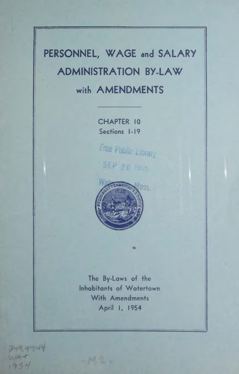# **PERSONNEL, WAGE and SALARY ADMINISTRATION BY-LAW with AMENDMENTS**

**CHAPTER 10 Sections 1-19**

Free Public Library SEP 20 1955



**The By-Laws of the Inhabitants of Watertown With Amendments April I, 1954**

 $-142$ 

349.9744 **WA-<**  $1954$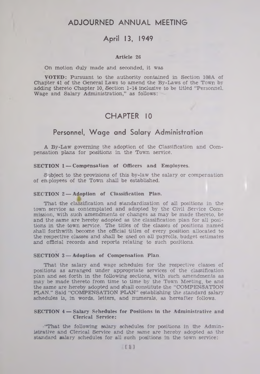# **ADJOURNED ANNUAL MEETING**

# **April 13, 1949**

#### **Article 2G**

#### On motion duly made and seconded, it was

**VOTED:** Pursuant to the authority contained in Section 108A of Chapter 41 of the General Laws to amend the By-Laws of the Town by adding thereto Chapter 10, Section 1-14 inclusive to be titled "Personnel. Wage and Salary Administration," as follows:

# **CHAPTER 10**

# **Personnel, W age and Salary Administration**

A By-Law governing the adoption of the Classification and Compensation plans for positions in the Town service.

#### **SECTION 1 — Compensation of Officers and Employees.**

Subject to the provisions of this by-law the salary or compensation of employees of the Town shall be established.

#### **SECTION 2 — Adoption of Classification Plan.**

That the classification and standardization of all positions in the town service as contemplated and adopted by the Civil Service Commission, with such amendments or changes as may be made thereto, be and the same are hereby adopted as the classification plan for all positions in the town service. The titles of the classes of positions named shall forthwith become the official titles of every position allocated to the respective classes and shall be used on all payrolls, budget estimates and official records and reports relating to such positions.

#### **SECTION 3 — Adoption of Compensation Plan.**

That the salary and wage schedules for the respective classes of positions as arranged under appropriate services of the classification plan and set forth in the following sections, with such amendments as may be made thereto from time to time by the Town Meeting, be and the same are hereby adopted and shall constitute the "COMPENSATION PLAN." Said "COMPENSATION PLAN" establishing the standard salary\* schedules is, in words, letters, and numerals, as hereafter follows.

#### **SECTION 4 — Salary Schedules for Positions in the Administrative and Clerical Service:**

"That the following salary schedules for positions in the Administrative and Clerical Service and the same are hereby adopted as the standard salary schedules for all such positions in the town service: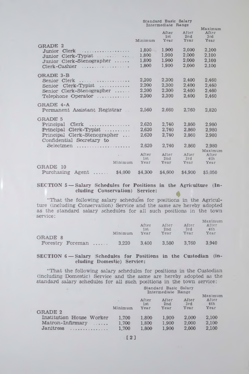|                                                                                                                                               | Standard Basic Salary<br>Intermediate Range |                                  |                                  |                                            |
|-----------------------------------------------------------------------------------------------------------------------------------------------|---------------------------------------------|----------------------------------|----------------------------------|--------------------------------------------|
|                                                                                                                                               | Minimum                                     | After<br>1st<br>Year             | After<br>2nd<br>Year             | Maximum<br>After<br>3rd<br>Year            |
| <b>GRADE</b><br>$\overline{2}$<br>Junior Clerk<br>$Clerk-Typist$<br>Junior<br>Junior Clerk-Stenographer<br>Clerk-Cashier                      | 1,800<br>1.800<br>1.800<br>1.800            | 1.900<br>1.900<br>1,900<br>1.900 | 2,000<br>2.000<br>2,000<br>2,000 | 2,100<br>2.100<br>2,100<br>2.100           |
| <b>GRADE 3-B</b><br>Clerk<br>Senior<br>$Clerk-Typist$<br>Senior<br>Senior Clerk-Stenographer<br>Telephone Operator                            | 2.200<br>2.200<br>2.200<br>2,200            | 2,300<br>2,300<br>2,300<br>2,300 | 2.400<br>2.400<br>2,400<br>2.400 | 2.460<br>2,460<br>2.460<br>2.460           |
| GRADE 4-A<br>Permanent Assistant Registrar                                                                                                    | 2.560                                       | 2,660                            | 2.760                            | 2,820                                      |
| <b>GRADE 5</b><br>Clerk<br>Principal<br>.<br>Principal Clerk-Typist<br>Principal Clerk-Stenographer<br>Confidential Secretary to<br>Selectmen | 2,620<br>2.620<br>2.620<br>2,620            | 2.740<br>2.740<br>2.740<br>2.740 | 2.860<br>2.860<br>2,860<br>2,860 | 2.980<br>2.980<br>2,980<br>2.980           |
| Minimum<br>GRADE 10<br>Purchasing<br>\$4,000<br>Agent                                                                                         | After<br>1st<br>Year<br>\$4,300             | After<br>2nd<br>Year<br>\$4,600  | After<br>3rd<br>Year<br>\$4,900  | Maximum<br>After<br>4th<br>Year<br>\$5,050 |

# **SECTION 5** — **Salary Schedules for Positions in the Agriculture (Ineluding Conservation) Service:**

**\* "That the following salary schedules for positions in the Agriculture (including Conservation) Service and the same are hereby adopted as the standard salary schedules for all such positions in the town service:**

| <b>GRADE 8</b> |                  | Minimum | After<br>1st<br>Year | After<br>2nd<br>Year | After<br>3rd<br>Year | Maximum<br>After<br>4th<br>Year |
|----------------|------------------|---------|----------------------|----------------------|----------------------|---------------------------------|
|                | Forestry Foreman | 3.220   | 3.400                | 3.580                | 3.760                | 3.940                           |

### **SECTION 6 — Salary Schedules for Positions in the Custodian (including: Domestic) Service:**

**"That the following salary schedules for positions in the Custodian (including Domestic) Service and the same are hereby adopted as the standard salary schedules for all such positions in the town service:**

|                          | Standard Basic Salary<br>Intermediate Range |              |                          |              |                         |
|--------------------------|---------------------------------------------|--------------|--------------------------|--------------|-------------------------|
|                          |                                             | After<br>1st | After<br>2 <sub>nd</sub> | After<br>3rd | Maximum<br>After<br>4th |
| <b>GRADE 2</b>           | Minimum                                     | Year         | Year                     | Year         | Year                    |
|                          |                                             |              |                          |              |                         |
| Institution House Worker | 1.700                                       | 1.800        | 1.900                    | 2.000        | 2.100                   |
| Matron-Infirmary         | 1.700                                       | 1.800        | 1.900                    | 2.000        | 2.100                   |
| Janitress                | 1.700                                       | 1.800        | 1,900                    | 2.000        | 2.100                   |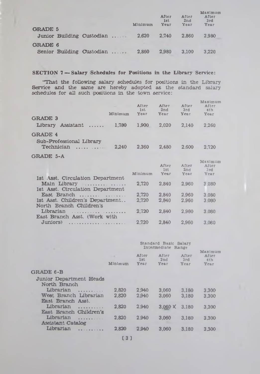| <b>GRADE 5</b> |                           | Minimum | After<br>1st<br>Year | After<br>2nd<br>Year | Maximum<br>After<br>3rd<br>Year |
|----------------|---------------------------|---------|----------------------|----------------------|---------------------------------|
|                | Junior Building Custodian | 2.620   | 2.740                | 2.860                | 2.980                           |
| <b>GRADE 6</b> |                           |         |                      |                      |                                 |
|                | Senior Building Custodian | 2.860   | 2.980                | 3.100                | 3.220                           |

## **SECTION 7 — Salary Schedules for Positions in the Library Service:**

"That the following salary schedules for positions in the Library Service and the same are hereby adopted as the standard salary schedules for all such positions in the town service:

| Minimum<br><b>GRADE 3</b>                                  | After<br>1st<br>Year | After<br>2nd<br>Year | After<br>3rd<br>Year | Maximum<br>After<br>4th<br>Year |
|------------------------------------------------------------|----------------------|----------------------|----------------------|---------------------------------|
| Library Assistant                                          | 1.780<br>1.900       | 2,020                | 2.140                | 2,260                           |
| <b>GRADE 4</b><br>Sub-Professional Library<br>Technician   | 2.240<br>2.360       | 2.480                | 2.600                | 2.720                           |
| GRADE 5-A                                                  |                      |                      |                      |                                 |
|                                                            | Minimum              | After<br>1st<br>Year | After<br>2nd<br>Year | Maximum<br>After<br>3nd<br>Year |
| 1st Asst. Circulation Department                           |                      |                      |                      |                                 |
| Main Library<br>1st Asst. Circulation Department           | 2,720                | 2,840                | 2.960                | 3.080                           |
| East Branch $\ldots$                                       | 2,720                | 2.840                | 2.960                | 3.080                           |
| 1st Asst. Children's Department<br>North Branch Children's | 2,720                | 2.840                | 2.960                | 3.080                           |
| Librarian<br>East Branch Asst. (Work with                  | 2.720                | 2.840                | 2.960                | 3.080                           |
| Juniors)                                                   | 2.720                | 2.840                | 2.960                | 3.080                           |
|                                                            |                      |                      |                      |                                 |

| ٠                                                 | Standard Basic Salary<br>Intermediate Range |                             |                      |                      |                                 |
|---------------------------------------------------|---------------------------------------------|-----------------------------|----------------------|----------------------|---------------------------------|
|                                                   | $-11$<br>Minimum                            | After<br>1st<br><b>Уеаг</b> | After<br>2nd<br>Year | After<br>3rd<br>Year | Maximum<br>After<br>4th<br>Year |
| GRADE 6-B                                         |                                             |                             |                      |                      |                                 |
| Junior Department Heads<br>North Branch           |                                             |                             |                      |                      |                                 |
| Librarian<br>.                                    | 2.820                                       | 2.940                       | 3.060                | 3.180                | 3.300                           |
| West Branch Librarian<br><b>East Branch Asst.</b> | 2.820                                       | 2.940                       | 3.060                | 3,180                | 3.300                           |
| Librarian<br>.<br>East Branch Children's          | 2.820                                       | 2.940                       | $3.060 \times$       | 3.180                | 3.300                           |
| Librarian<br>.<br><b>Assistant Catalog</b>        | 2.820                                       | 2.940                       | 3.060                | 3.180                | 3.300                           |
| Librarian                                         | 2.820                                       | 2.940                       | 3.060                | 3.180                | 3.300                           |
|                                                   |                                             |                             |                      |                      |                                 |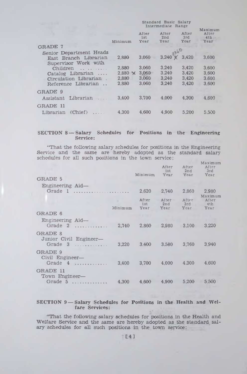|                                       |                | Maximum              |                      |                      |                             |
|---------------------------------------|----------------|----------------------|----------------------|----------------------|-----------------------------|
|                                       | Minimum        | After<br>1st<br>Year | After<br>2nd<br>Year | After<br>3rd<br>Year | After<br>4th<br><b>Year</b> |
| <b>GRADE 7</b>                        |                |                      |                      |                      |                             |
| Senior Department Heads               |                |                      |                      |                      |                             |
| East Branch Librarian                 | 2,880          | 3.060                | $3.240 \times$       | 3,420                | 3,600                       |
| Supervisor Work with<br>Children<br>. | 2,880          | 3.060                | 3.240                | 3.420                | 3,600                       |
| Catalog Librarian                     | $2.880 \times$ | 3,060                | 3.240                | 3.420                | 3.600                       |
| Circulation Librarian                 | 2,880          | 3,060                | 3.240                | 3.420                | 3.600                       |
| Reference Librarian                   | 2,880          | 3.060                | 3,240                | 3.420                | 3.600                       |
| GRADE 9                               |                |                      |                      |                      |                             |
| Librarian<br>Assistant                | 3,400          | 3.700                | 4.000                | 4.300                | 4.600                       |
| GRADE 11                              |                |                      |                      |                      |                             |
| (Chief)<br>Librarian                  | 4.300          | 4.600                | 4.900                | 5,200                | 5.500                       |

## **SECTION 8 — Salary Schedules for Positions in the Engineering Service:**

**"That the following salary schedules for positions in the Engineering Service and the same are hereby adopted as the standard salary schedules for all such positions in the town service:**

| GRADE 5                                                     |         | Minimum              | After<br>1st<br>Year | After<br>2nd<br>Year | Maximum<br>After<br>3rd<br>Year |
|-------------------------------------------------------------|---------|----------------------|----------------------|----------------------|---------------------------------|
| Engineering Aid—<br>Grade 1                                 |         | 2,620                | 2,740                | 2,860                | 2,980                           |
|                                                             | Minimum | After<br>1st<br>Year | After<br>2nd<br>Year | After<br>3rd<br>Year | Maximum<br>After<br>4th<br>Year |
| <b>GRADE 6</b><br>Engineering Aid-<br>Grade 2<br>. <b>.</b> | 2,740   | 2,860                | 2,980                | 3.100                | 3,220                           |
| <b>GRADE 8</b><br>Junior Civil Engineer-<br>Grade $3$       | 3,220   | 3.400                | 3.580                | 3,760                | 3.940                           |
| <b>GRADE 9</b><br>Civil Engineer—<br>Grade $4$              | 3.400   | 3.700                | 4.000                | 4.300                | 4.600                           |
| GRADE 11<br>Town Engineer-<br>Grade 5<br>.                  | 4,300   | 4.600                | 4.900                | 5.200                | 5.500                           |

## **SECTION 9 — Salary Schedules for Positions in the Health and Welfare Services:**

**"That the following salary schedules for positions in the Health and Welfare Service and the same are hereby adopted as the standard salary schedules for all such positions in the town service:**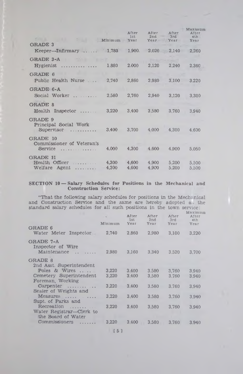| <b>GRADE 3</b><br>Keeper-Infirmary  1,780                                     | Minimum        | After<br>1st<br>Year<br>1,900 | After<br>2nd<br>Year<br>2.020 | After<br>3rd<br>Year<br>2.140 | Maximum<br>After<br>4th<br>Year<br>2,260 |
|-------------------------------------------------------------------------------|----------------|-------------------------------|-------------------------------|-------------------------------|------------------------------------------|
| <b>GRADE 3-A</b>                                                              |                |                               |                               |                               |                                          |
| $Hypienist$                                                                   | 1,880          | 2.000                         | 2,120                         | 2,240                         | 2,360                                    |
| GRADE 6<br>Public Health Nurse                                                | 2,740          | 2,860                         | 2.980                         | 3,100                         | 3.220                                    |
| GRADE 6-A<br>Social Worker                                                    | 2,580          | 2,760                         | 2,940                         | 3,120                         | 3,300                                    |
| <b>GRADE 8</b><br>Health Inspector                                            | 3,220          | 3,400                         | 3.580                         | 3.760                         | 3.940                                    |
| <b>GRADE 9</b><br>Principal Social Work<br>Supervisor<br><u>.</u>             | 3.400          | 3,700                         | 4.000                         | 4,300                         | 4.600                                    |
| GRADE 10<br>Commissioner of Veteran's<br>Service<br>.                         | 4.000          | 4,300                         | 4.600                         | 4.900                         | 5,050                                    |
| <b>GRADE 11</b><br>Health Officer<br>. . <b>.</b><br>Welfare Agent<br><b></b> | 4,300<br>4,300 | 4,600<br>4.600                | 4,900<br>4.900                | 5,200<br>5.200                | 5.500<br>5,500                           |

#### **SECTION 10 — Salary Schedules for Positions in the Mechanical and Construction Service:**

"That the following salary schedules for positions in the Mechr nical and Construction Service and the same are hereby adopted a,; the standard salary schedules for all such positions in the town **service:**

| Minimum                           | After<br>1st<br>Year | After<br>2nd<br>Year | After<br>3rd<br>Year | Maximum<br>After<br>4th<br>Year |
|-----------------------------------|----------------------|----------------------|----------------------|---------------------------------|
| 2.740                             | 2.860                | 2.980                | 3,100                | 3.220                           |
| 2.980                             | 3.160                | 3.340                | 3.520                | 3.700                           |
|                                   |                      |                      |                      |                                 |
| 3,220<br>3.220                    | 3.400<br>3.400       | 3.580<br>3,580       | 3.760<br>3.760       | 3.940<br>3.940                  |
| 3.220                             | 3.400                | 3.580                | 3.760                | 3.940                           |
| 3.220                             | 3.400                | 3,580                | 3.760                | 3.940                           |
| 3.220<br>Water Registrar—Clerk to | 3.400                | 3.580                | 3.760                | 3.940                           |
| 3,220                             | 3.400                | 3.580                | 3.760                | 3.940                           |
|                                   |                      |                      |                      |                                 |

**151**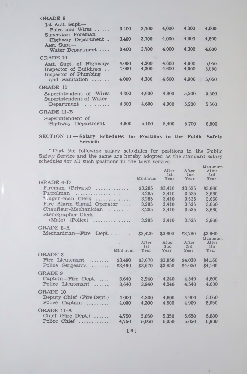| <b>GRADE 9</b>                                                    |       |       |       |       |       |
|-------------------------------------------------------------------|-------|-------|-------|-------|-------|
| 1st Asst. Supt -<br>Poles and Wires $\dots$<br>Supervisor Foreman | 3,400 | 3.700 | 4.000 | 4.300 | 4.600 |
| Highway Department.                                               | 3,400 | 3.700 | 4.000 | 4.300 | 4.600 |
| Asst. Supt.—<br>Water Department                                  | 3.400 | 3.700 | 4,000 | 4,300 | 4.600 |
| <b>GRADE 10</b>                                                   |       |       |       |       |       |
| Asst. Supt. of Highways                                           | 4.000 | 4,300 | 4,600 | 4.900 | 5.050 |
| Inspector of Buildings<br>Inspector of Plumbing                   | 4.000 | 4,300 | 4.600 | 4.900 | 5.050 |
| and Sanitation                                                    | 4.000 | 4,300 | 4.600 | 4.900 | 5.050 |
| <b>GRADE 11</b>                                                   |       |       |       |       |       |
| Superintendent of Wires<br>Superintendent of Water                | 4.300 | 4.600 | 4.900 | 5.200 | 5.500 |
| Department<br>.                                                   | 4,300 | 4.600 | 4.900 | 5,200 | 5,500 |
| <b>GRADE 11-B</b>                                                 |       |       |       |       |       |
| Superintendent of                                                 |       |       |       |       |       |
| Highway Department.                                               | 4,800 | 5,100 | 5,400 | 5.700 | 6.000 |

## **SECTION 11 — Salary Schedules for Positions in the Public Safety Service:**

**"That the following salary schedules for positions in the Public Safety Service and the same are hereby adopted as the standard salary schedules for all such positions in the town service:** Maximum

| GRADE 6-D                                               |                       | Minimum            | After<br>1st<br>Үеаг | After<br>2nd<br>Year | After<br>3rd<br>Year |
|---------------------------------------------------------|-----------------------|--------------------|----------------------|----------------------|----------------------|
| Fireman $(Private)$<br>Patrolman                        |                       | \$3,285<br>3.285   | \$3,410<br>3.410     | \$3,535<br>3.535     | \$3.660<br>3.660     |
| Vagon-man Clerk<br>Fire Alarm Signal Operator           | .                     | 3.285<br>3.285     | 3.410<br>3.410       | 3,535<br>3,535       | 3.660<br>3,660       |
| Chauffeur-Mechanician<br>Stenographer Clerk             |                       | 3.285              | 3.410                | 3.535                | 3.660                |
| (Male) (Police)                                         | .                     | 3.285              | 3.410                | 3.535                | 3,660                |
| GRADE 8-A                                               |                       |                    |                      |                      |                      |
| Mechanician—Fire                                        | $Dept. \ldots \ldots$ | \$3,420            | \$3.600              | \$3,780              | \$3,960<br>Maximum   |
|                                                         |                       | After<br>1st       | After<br>2nd         | After<br>3rd         | After<br>4th         |
| <b>GRADE 8</b>                                          | Minimum               | Year               | Year                 | Year                 | Year                 |
| Fire Lieutenant<br>.<br>Police Sergeants<br>1.1.1.1.1.1 | \$3,490<br>\$3,490    | \$3.670<br>\$3,670 | \$3,850<br>\$3,850   | \$4.030<br>\$4,030   | \$4.160<br>\$4,160   |
| <b>GRADE 9</b>                                          |                       |                    |                      |                      |                      |
| Captain—Fire Dept<br>Police Lieutenant<br>.             | 3.640<br>3.640        | 3.940<br>3.940     | 4.240<br>4.240       | 4.540<br>4.540       | 4.600<br>4.600       |
| <b>GRADE 10</b>                                         |                       |                    |                      |                      |                      |
| Deputy Chief (Fire Dept.)<br>Police Captain<br>.        | 4,000<br>4.000        | 4.300<br>4.300     | 4.600<br>4.600       | 4.900<br>4.900       | 5.050<br>5.050       |
| <b>GRADE 11-A</b>                                       |                       |                    |                      |                      |                      |
| Chief (Fire Dept.)<br>Police Chief<br>.                 | 4.750<br>4.750        | 5.050<br>5.050     | 5,350<br>5.350       | 5.650<br>5.650       | 5.800<br>5.800       |
|                                                         |                       |                    |                      |                      |                      |

**[6]**

 $\mathbf{v}$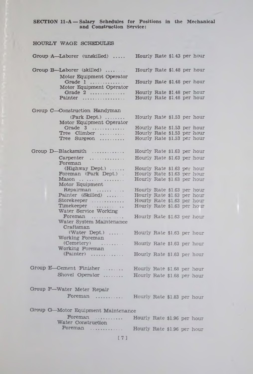**SECTION H -A — Salary Schedules for Positions in the Mechanical and Construction Service:**

| HOURLY WAGE SCHEDULES                                 |                                                            |  |  |
|-------------------------------------------------------|------------------------------------------------------------|--|--|
| Group A-Laborer (unskilled)                           | Hourly Rate \$1.43 per hour                                |  |  |
| Group B-Laborer (skilled)<br>Motor Equipment Operator | Hourly Rate \$1.48 per hour                                |  |  |
| Grade 1<br>Motor Equipment Operator                   | Hourly Rate \$1.48 per hour                                |  |  |
| Grade $2$<br>Painter                                  | Hourly Rate \$1.48 per hour<br>Hourly Rate \$1.48 per hour |  |  |
| Group C-Construction Handyman                         |                                                            |  |  |
| $(Park \nDept.) \n \n$<br>Motor Equipment Operator    | Hourly Rate \$1.53 per hour                                |  |  |
| Grade 3<br>Tree Climber                               | Hourly Rate \$1.53 per hour<br>Hourly Rate \$1.53 per hour |  |  |
| Tree Surgeon                                          | Hourly Rate \$1.53 per hour                                |  |  |
| Group D-Blacksmith                                    | Hourly Rate \$1.63 per hour                                |  |  |
| Foreman                                               | Hourly Rate \$1.63 per hour                                |  |  |
| $(Highway\ Dept.)$                                    | Hourly Rate \$1.63 per hour                                |  |  |
| Foreman (Park Dept.)                                  | Hourly Rate \$1.63 per hour                                |  |  |
| Motor Equipment                                       | Hourly Rate \$1.63 per hour                                |  |  |
| Repairman                                             | Hourly Rate \$1.63 per hour                                |  |  |
| Painter (Skilled)                                     | Hourly Rate \$1.63 per hour                                |  |  |
| Storekeeper                                           | Hourly Rate \$1.63 per hour                                |  |  |
| Timekeeper<br>Water Service Working                   | Hourly Rate \$1.63 per hour                                |  |  |
| Foreman<br>.<br>Water System Maintenance              | Hourly Rate \$1.63 per hour                                |  |  |
| Craftsman<br>$(Water \nDepth.) \n$<br>Working Foreman | Hourly Rate \$1.63 per hour                                |  |  |
| (Cemetery)                                            | Hourly Rate \$1.63 per hour                                |  |  |
| Working Foreman<br>$(Painter)$                        | Hourly Rate \$1.63 per hour                                |  |  |
| Group E-Cement Finisher                               | Hourly Rate \$1.68 per hour                                |  |  |
| Shovel Operator                                       | Hourly Rate \$1.68 per hour                                |  |  |
| Group F-Water Meter Repair                            |                                                            |  |  |
| Foreman                                               | Hourly Rate \$1.83 per hour                                |  |  |
| Group G-Motor Equipment Maintenance                   |                                                            |  |  |
| Foreman<br>$\sim$ $\sim$<br>Water Construction        | Hourly Rate \$1.96 per hour                                |  |  |
| Foreman                                               | Hourly Rate \$1.96 per hour                                |  |  |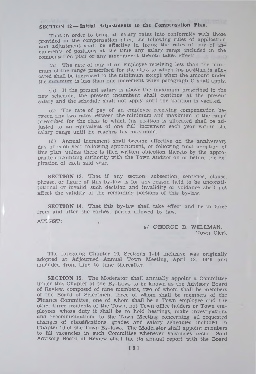# **SECTION 12 – Initial Adjustments to the Compensation Plan.**

**That in order to bring all salary rates into conformity with those provided in the compensation plan, the following rules of application and adjustment shall be effective in fixing the rates of pay of incumbents of positions at the time any salary range included in the compensation plan or any amendment thereto takes effect:**

**(ai The rate of pay of an employee receiving less than the minimum of the range prescribed for the class to which his position is allocated shall be increased to the minimum except when the amount under the m in im um is less than one increment when paragraph C shall apply.**

**Ob) If the present salary is above the maximum prescribed in the new schedule, the present incumbent shall continue at the present salary and the schedule shall not apply until the position is vacated.**

**(c) The rate of pay of an employee receiving compensation between any two rates between the minimum and maximum of the range prescribed for the class to which his position is allocated shall be adjusted to an equivalent of one full increment each year within the salary range until he reaches his maximum.**

**(dl Annual increment shall become effective on the anniversary day of each year following appointment, or following final adoption of this plan, unless there is filed written objection thereto by the appropriate appointing authority with the Town Auditor on or before the expiration of each said year.**

**SECTION 13. That if any section, subsection, sentence, clause, phrase, or figure of this by-law is for any reason held to be unconstitutional or invalid, such decision and invalidity or voidance shall not affect the validity of the remaining portions of this by-law.**

**SECTION 14. That this by-law shall take effect and be in force from and after the earliest period allowed by law.**

**ATTEST:**

**S/ GEORGE B. WELLMAN, Town Clerk**

**The foregoing Chapter 10, Sections 1-14 inclusive was originally adopted at Adjourned Annual Town Meeting, April 13. 1949 and amended from time to time thereafter.**

**SECTION 15. The Moderator shall annually appoint a Committee under this Chapter of the By-Laws to be known as the Advisory Board of Review, composed of nine members, two of whom shall be members of the Board of Selectmen, three of whom shall be members of the Finance Committee, one of whom shall be a Town employee and the other three residents of the Town, not Town office holders or Town employees, whose duty it shall be to hold hearings, make investigations and recommendations to the Town Meeting concerning all requested changes of classifications, grades and salary schedules included in Chapter 10 of the Town By-laws. The Moderator shall appoint members to fill vacancies in such Committee whenever vacancies occur. Said Advisory Board of Review shall file its annual report with the Board**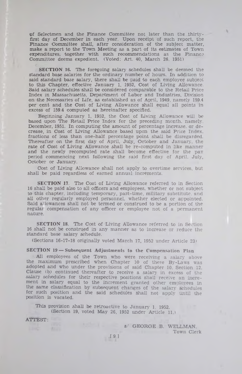of Selectmen and the Finance Committee not later than the thirtyfirst day of December in each year. Upon receipt of such report, the Finance Committee shall, after consideration of the subject matter, make a report to the Town Meeting as a part of its estimates of Town expenditures, together with such recommendations as the Finance Committee deems expedient. (Voted: Art. 40, March 26, 1951)

**SECTION 16.** The foregoing salary' schedules shall be deemed the standard base salaries for the ordinary number of hours. In addition to said standard base salary, there shall be paid to each employee subject to this Chapter, effective January 1. 1952, Cost of Living Allowance. Said salary schedules shall be considered comparable to the Retail Price Index in Massachusetts, Department of Labor and Industries, Division on the Necessaries of Life, as established as of April, 1949, namely 159.4 per cent and the Cost of Living Allowance shall equal all points in excess of 159.4 computed as hereinafter specified.

Beginning January 1, 1952, the Cost of Living Allowance will be based upon The Retail Price Index for the preceding month, namely, December, 1951. In computing the amount of percentage increase, or decrease, in Cost of Living Allowance based upon the said Price Index, fractions of less than one-half percentage point shall be disregarded. Thereafter on the first day of April, July, October and January, the rate of Cost of Living Allowance shall be re-computed in like manner and the newly recomputed rate shall become effective for the pay period commencing next following the said first day of April. July, Ootober or January.

Cost of Living Allowance shall not apply to overtime services, but shall be paid regardless of earned annual increments.

SECTION 17. The Cost of Living Allowance referred to in Section 16 shall be paid also to all officers and employees, whether or not subject to this chapter, including temporary, part-time, military substitute, and all other regularly employed personnel, whether elected or appointed. Said allowances shall not be termed or construed to be a portion of the regular compensation of any officer or employee not of a permanent nature.

SECTION 18. The Cost of Living Allowance referred to in Section 16 shall not be construed in any manner as to increase or reduce the standard base salary schedule.

(Sections 16-17-18 originally voted March 17, 1952 under Article 23'

#### **SECTION 19 — Subsequent Adjustments to the Compensation Plan**

All employees of the Town who were receiving a salary above the maximum prescribed when Chapter 10 of these By-Laws was adopted and who under the provisions of said Chapter 10, Section 12, Clause (b) continued thereafter to receive a salary in excess of the salary schedules for their respective positions shall receive an increment in salary equal to the increment granted other employees in the same classification by subsequent changes of the salary schedules for such position and the said schedules shall not apply until the position is vacated.

This provision shall be retroactive to January 1. 1952. (Section 19, voted May 26, 1952 under Article 11.)

ATTEST:

**REAL** 

8/ GEORGE B. WELLMAN. **Town Clerk**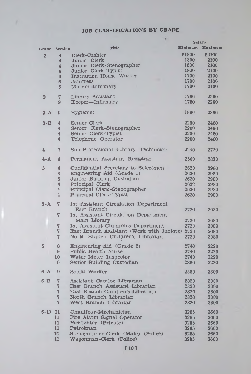# **JOB CLASSIFICATIONS BY GRADE**

x

|                 |                |                                                | <b>Salary</b> |         |
|-----------------|----------------|------------------------------------------------|---------------|---------|
| Grade           | Section        | <b>Title</b>                                   | Minimum       | Maximum |
|                 |                | Clerk-Cashier                                  | \$1800        | \$2100  |
| $\overline{a}$  | 4              | Junior Clerk                                   | 1800          | 2100    |
|                 | $\overline{4}$ |                                                |               |         |
|                 | 4              | Junior Clerk-Stenographer                      | 1800          | 2100    |
|                 | 4              | Junior Clerk-Typist                            | 1800          | 2100    |
|                 | 6              | Institution House Worker                       | 1700          | 2100    |
|                 | 6              | <b>Janitress</b>                               | 1700          | 2100    |
|                 | 6              | Matron-Infirmary                               | 1700          | 2100    |
| 3               | $\overline{7}$ | Library Assistant                              | 1780          | 2260    |
|                 | 9              | Keeper-Infirmary                               | 1780          | 2260    |
|                 |                |                                                |               |         |
| $3 - A$         | 9              | Hygienist                                      | 1880          | 2360    |
| $3 - B$         | 4              | Senior Clerk                                   | 2200          | 2460    |
|                 |                | Senior Clerk-Stenographer                      | 2200          |         |
|                 | 4              |                                                |               | 2460    |
|                 | $\overline{4}$ | Senior Clerk-Typist                            | 2200          | 2460    |
|                 | 4              | Telephone Operator                             | 2200          | 2460    |
| 4               | 7              | Sub-Professional Library Technician            | 2240          | 2720    |
|                 |                |                                                |               |         |
| $4 - A$         | 4              | Permanent Assistant Registrar                  | 2560          | 2820    |
| $5\phantom{.0}$ | 4              | Confidential Secretary to Selectmen            | 2620          | 2980    |
|                 | 8              | Engineering Aid (Grade 1)                      | 2620          | 2980    |
|                 | 6              | Junior Building Custodian                      | 2620          | 2980    |
|                 | $\overline{4}$ | Principal Clerk                                | $262$ ି       | 2980    |
|                 | $\overline{4}$ | Principal Clerk-Stenographer                   | 2620          | 2980    |
|                 |                | Principal Clerk-Typist                         |               |         |
|                 | 4              |                                                | 2620          | 2980    |
| $5 - A$         | $\overline{7}$ | 1st Assistant Circulation Department           |               |         |
|                 |                | East Branch                                    |               |         |
|                 |                |                                                | 2720          | 3080    |
|                 | 7              | 1st Assistant Circulation Department           |               |         |
|                 |                | Main Library                                   | 2720          | 3080    |
|                 | 7              | 1st Assistant Children's Department            | 2720          | 3080    |
|                 | $\overline{7}$ | East Branch Assistant (Work with Juniors) 2720 |               | 3080    |
|                 | 7              | North Branch Children's Librarian              | 2720          | 3080    |
|                 |                |                                                |               |         |
| 6               | 8              | Engineering Aid (Grade 2)                      | 2740          | 3220    |
|                 | 9              | Public Health Nurse                            | 2740          | 3220    |
|                 | 10             | Water Meter Inspector                          | 2740          | 3220    |
|                 | 6              | Senior Building Custodian                      | 2860          | 3220    |
|                 |                |                                                |               |         |
| $6 - A$         | 9              | Social Worker                                  | 2580          | 3300    |
| $6 - B$         | 7              | Assistant Catalog Librarian                    | 2820          | 3300    |
|                 | 7              | East Branch Assistant Librarian                |               |         |
|                 |                |                                                | 2820          | 3300    |
|                 | $\overline{7}$ | East Branch Children's Librarian               | 2820          | 3300    |
|                 | 7              | North Branch Librarian                         | 2820          | 3300    |
|                 | 7              | West Branch Librarian                          | 2820          | 3300    |
|                 |                |                                                |               |         |
| $6-D$           | 11             | Chauffeur-Mechanician                          | 3285          | 3660    |
|                 | 11             | Fire Alarm Signal Operator                     | 3285          | 3660    |
|                 | 11             | Firefighter (Private)                          | 3285          | 3660    |
|                 | 11             | Patrolman                                      | 3285          | 3660    |
|                 | 11             | Stenographer-Clerk (Male)<br>(Police)          | 3285          | 3660    |
|                 | 11             | Wagonman-Clerk (Police)                        | 3285          | 3660    |
|                 |                |                                                |               |         |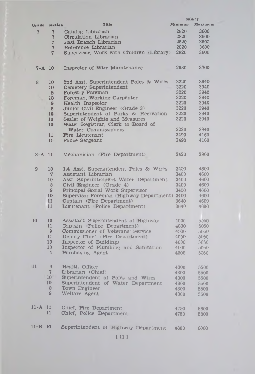|                |                 |                                              | <b>Salary</b> |         |
|----------------|-----------------|----------------------------------------------|---------------|---------|
|                | Grade Section   | Title                                        | Minimum       | Maximum |
|                |                 |                                              |               |         |
| $\overline{7}$ | $\overline{7}$  | Catalog Librarian                            | 2820          | 3600    |
|                | 7               | Circulation Librarian                        | 2820          | 3600    |
|                | $\overline{7}$  | East Branch Librarian                        | 2820          | 3600    |
|                | 7               | Reference Librarian                          | 2820          | 3600    |
|                |                 |                                              |               |         |
|                | $\overline{7}$  | Supervisor, Work with Children Library)      | 2820          | 3600    |
|                |                 |                                              |               |         |
|                |                 |                                              |               |         |
| $7 - A$ 10     |                 | Inspector of Wire Maintenance                | 2980          | 3700    |
|                |                 |                                              |               |         |
|                |                 |                                              |               |         |
|                |                 |                                              | 3220          | 3940    |
| 8              | 10              | 2nd Asst. Superintendent Poles & Wires       |               |         |
|                | 10              | Cemetery Superintendent                      | 3220          | 3940    |
|                | $5\overline{a}$ | Forestry Foreman                             | 3220          | 3940    |
|                | 10 <sup>°</sup> | Foreman, Working Carpenter                   | 3220          | 3940    |
|                | 9               | Health Inspector                             | 3220          | 3940    |
|                |                 |                                              |               |         |
|                | 8               | Junior Civil Engineer (Grade 3)              | 3220          | 3940    |
|                | 10              | Superintendent of Parks & Recreation         | 3220          | 3940    |
|                | 10              | Sealer of Weights and Measures               | 3220          | 3940    |
|                | 10              | Water Registrar, Clerk to Board of           |               |         |
|                |                 |                                              |               |         |
|                |                 | Water Commissioners                          | 3220          | 3940    |
|                | 11              | Fire Lieutenant                              | 3490          | 4160    |
|                | 11              | Police Sergeant                              | 3490          | 4160    |
|                |                 |                                              |               |         |
|                |                 |                                              |               |         |
| $8 - A$ 11     |                 | Mechanician (Fire Department)                | 3420          | 3960    |
|                |                 |                                              |               |         |
|                |                 |                                              |               |         |
|                |                 |                                              |               |         |
| 9              | 10              | 1st Asst. Superintendent Poles & Wires       | 3400          | 4600    |
|                | $\tau$          | Assistant Librarian                          | 3400          | 4600    |
|                | 10              | Asst. Superintendent Water Department        | 3400          | 4600    |
|                | 8               |                                              | 3400          | 4600    |
|                |                 | Civil Engineer (Grade 4)                     |               |         |
|                | 9               | Principal Social Work Supervisor             | 3400          | 4600    |
|                | 10              | Supervisor Foreman (Highway Department) 3400 |               | 4600    |
|                | 11              | Captain (Fire Department)                    | 3640          | 4600    |
|                | 11              | Lieutenant (Police Department)               | 3640          | 4600    |
|                |                 |                                              |               |         |
|                |                 |                                              |               |         |
|                |                 |                                              |               |         |
| 10             | 10              | Assistant Superintendent of Highway          | 4000          | 5050    |
|                | 11              | Captain (Police Department)                  | 4000          | 5050    |
|                | 9               | Commissioner of Veterans' Service            | 4300          | 5050    |
|                | 11              | Deputy Chief (Fire Department)               | 4000          | 5050    |
|                |                 |                                              |               |         |
|                | 10              | Inspector of Buildings                       | 4000          | 5050    |
|                | 10              | Inspector of Plumbing and Sanitation         | 4000          | 5050    |
|                | 4               | Purchasing Agent                             | 4000          | 5050    |
|                |                 |                                              |               |         |
|                |                 |                                              |               |         |
| 11             | 9               | Health Officer                               | 4300          | 5500    |
|                | 7               |                                              |               |         |
|                |                 | Librarian (Chief)                            | 4300          | 5500    |
|                | 10              | Superintendent of Poles and Wires            | 4300          | 5500    |
|                | 10              | Superintendent of Water Department           | 4300          | 5500    |
|                | 8               | Town Engineer                                | 4300          | 5500    |
|                | 9               |                                              |               |         |
|                |                 | Welfare Agent                                | 4300          | 5500    |
|                |                 |                                              |               |         |
|                |                 |                                              |               |         |
| 11-A 11        |                 | Chief, Fire Department                       | 4750          | 5800    |
|                | 11              | Chief, Police Department                     | 4750          | 5800    |
|                |                 |                                              |               |         |
|                |                 |                                              |               |         |
| $11 - B$ 10    |                 | Superintendent of Highway Department         | 4800          | 6000    |
|                |                 |                                              |               |         |